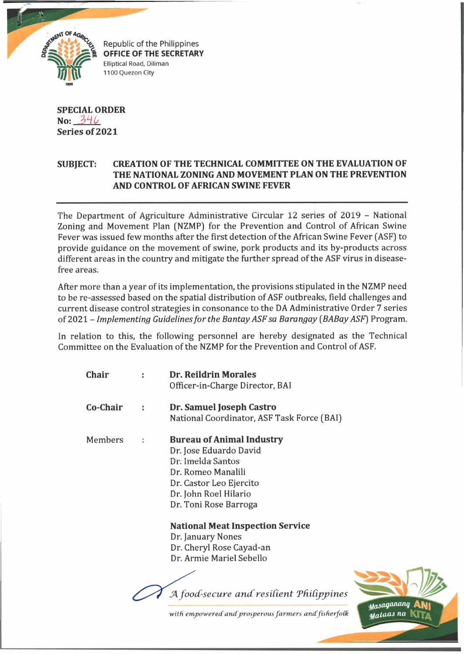

Republic of the Philippines **OFFICE OF THE SECRETARY** Elliptical Road, Diliman 1100 Quezon City

## **SPECIAL ORDER No:**  $346$ **Series of 2021**

## **SUBJECT: CREATION OF THE TECHNICAL COMMITTEE ON THE EVALUATION OF THE NATIONAL ZONING AND MOVEMENT PLAN ON THE PREVENTION AND CONTROL OF AFRICAN SWINE FEVER**

The Department of Agriculture Administrative Circular 12 series of 2019 - National Zoning and Movement Plan (NZMP) for the Prevention and Control of African Swine Fever was issued few months after the first detection of the African Swine Fever (ASF) to provide guidance on the movement of swine, pork products and its by-products across different areas in the country and mitigate the further spread of the ASF virus in diseasefree areas.

After more than a year of its implementation, the provisions stipulated in the NZMP need to be re-assessed based on the spatial distribution of ASF outbreaks, field challenges and current disease control strategies in consonance to the DA Administrative Order 7 series of 2021 - *Implementing Guidelines for the Bantay ASF sa Barangay (BABay ASF)* Program.

In relation to this, the following personnel are hereby designated as the Technical Committee on the Evaluation of the NZMP for the Prevention and Control of ASF.

| Chair    |   | <b>Dr. Reildrin Morales</b>                |
|----------|---|--------------------------------------------|
|          |   | Officer-in-Charge Director, BAI            |
| Co-Chair | ÷ | Dr. Samuel Joseph Castro                   |
|          |   | National Coordinator, ASF Task Force (BAI) |
| Members  | ÷ | <b>Bureau of Animal Industry</b>           |
|          |   | Dr. Jose Eduardo David                     |
|          |   | Dr: Imelda Santos                          |
|          |   | Dr. Romeo Manalili                         |
|          |   | Dr. Castor Leo Ejercito                    |
|          |   | Dr. John Roel Hilario                      |
|          |   | Dr. Toni Rose Barroga                      |
|          |   | <b>National Meat Inspection Service</b>    |
|          |   | Dr. January Nones                          |
|          |   | Dr. Cheryl Rose Cayad-an                   |
|          |   | Dr. Armie Mariel Sebello                   |
|          |   |                                            |
|          |   |                                            |

A *food-secure and resilient Philippines* 



with empowered and prosperous farmers and fisherfolk